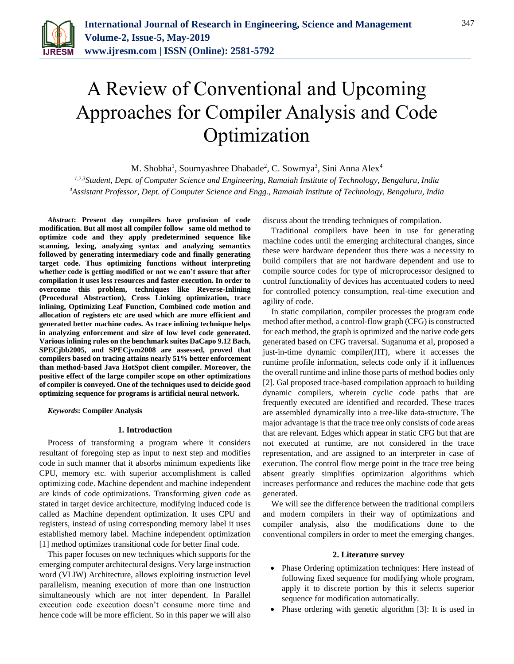

# A Review of Conventional and Upcoming Approaches for Compiler Analysis and Code Optimization

M. Shobha<sup>1</sup>, Soumyashree Dhabade<sup>2</sup>, C. Sowmya<sup>3</sup>, Sini Anna Alex<sup>4</sup>

*1,2,3Student, Dept. of Computer Science and Engineering, Ramaiah Institute of Technology, Bengaluru, India 4Assistant Professor, Dept. of Computer Science and Engg., Ramaiah Institute of Technology, Bengaluru, India*

*Abstract***: Present day compilers have profusion of code modification. But all most all compiler follow same old method to optimize code and they apply predetermined sequence like scanning, lexing, analyzing syntax and analyzing semantics followed by generating intermediary code and finally generating target code. Thus optimizing functions without interpreting whether code is getting modified or not we can't assure that after compilation it uses less resources and faster execution. In order to overcome this problem, techniques like Reverse-Inlining (Procedural Abstraction), Cross Linking optimization, trace inlining, Optimizing Leaf Function, Combined code motion and allocation of registers etc are used which are more efficient and generated better machine codes. As trace inlining technique helps in analyzing enforcement and size of low level code generated. Various inlining rules on the benchmark suites DaCapo 9.12 Bach, SPECjbb2005, and SPECjvm2008 are assessed, proved that compilers based on tracing attains nearly 51% better enforcement than method-based Java HotSpot client compiler. Moreover, the positive effect of the large compiler scope on other optimizations of compiler is conveyed. One of the techniques used to deicide good optimizing sequence for programs is artificial neural network.**

*Keywords***: Compiler Analysis**

### **1. Introduction**

Process of transforming a program where it considers resultant of foregoing step as input to next step and modifies code in such manner that it absorbs minimum expedients like CPU, memory etc. with superior accomplishment is called optimizing code. Machine dependent and machine independent are kinds of code optimizations. Transforming given code as stated in target device architecture, modifying induced code is called as Machine dependent optimization. It uses CPU and registers, instead of using corresponding memory label it uses established memory label. Machine independent optimization [1] method optimizes transitional code for better final code.

This paper focuses on new techniques which supports for the emerging computer architectural designs. Very large instruction word (VLIW) Architecture, allows exploiting instruction level parallelism, meaning execution of more than one instruction simultaneously which are not inter dependent. In Parallel execution code execution doesn't consume more time and hence code will be more efficient. So in this paper we will also

discuss about the trending techniques of compilation.

Traditional compilers have been in use for generating machine codes until the emerging architectural changes, since these were hardware dependent thus there was a necessity to build compilers that are not hardware dependent and use to compile source codes for type of microprocessor designed to control functionality of devices has accentuated coders to need for controlled potency consumption, real-time execution and agility of code.

In static compilation, compiler processes the program code method after method, a control-flow graph (CFG) is constructed for each method, the graph is optimized and the native code gets generated based on CFG traversal. Suganuma et al, proposed a just-in-time dynamic compiler(JIT), where it accesses the runtime profile information, selects code only if it influences the overall runtime and inline those parts of method bodies only [2]. Gal proposed trace-based compilation approach to building dynamic compilers, wherein cyclic code paths that are frequently executed are identified and recorded. These traces are assembled dynamically into a tree-like data-structure. The major advantage is that the trace tree only consists of code areas that are relevant. Edges which appear in static CFG but that are not executed at runtime, are not considered in the trace representation, and are assigned to an interpreter in case of execution. The control flow merge point in the trace tree being absent greatly simplifies optimization algorithms which increases performance and reduces the machine code that gets generated.

We will see the difference between the traditional compilers and modern compilers in their way of optimizations and compiler analysis, also the modifications done to the conventional compilers in order to meet the emerging changes.

### **2. Literature survey**

- Phase Ordering optimization techniques: Here instead of following fixed sequence for modifying whole program, apply it to discrete portion by this it selects superior sequence for modification automatically.
- Phase ordering with genetic algorithm [3]: It is used in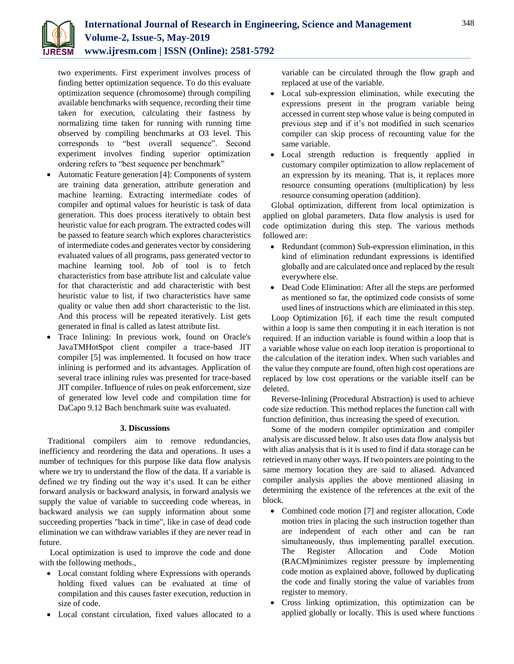

two experiments. First experiment involves process of finding better optimization sequence. To do this evaluate optimization sequence (chromosome) through compiling available benchmarks with sequence, recording their time taken for execution, calculating their fastness by normalizing time taken for running with running time observed by compiling benchmarks at O3 level. This corresponds to "best overall sequence". Second experiment involves finding superior optimization ordering refers to "best sequence per benchmark"

- Automatic Feature generation [4]: Components of system are training data generation, attribute generation and machine learning. Extracting intermediate codes of compiler and optimal values for heuristic is task of data generation. This does process iteratively to obtain best heuristic value for each program. The extracted codes will be passed to feature search which explores characteristics of intermediate codes and generates vector by considering evaluated values of all programs, pass generated vector to machine learning tool. Job of tool is to fetch characteristics from base attribute list and calculate value for that characteristic and add characteristic with best heuristic value to list, if two characteristics have same quality or value then add short characteristic to the list. And this process will be repeated iteratively. List gets generated in final is called as latest attribute list.
- Trace Inlining: In previous work, found on Oracle's JavaTMHotSpot client compiler a trace-based JIT compiler [5] was implemented. It focused on how trace inlining is performed and its advantages. Application of several trace inlining rules was presented for trace-based JIT compiler. Influence of rules on peak enforcement, size of generated low level code and compilation time for DaCapo 9.12 Bach benchmark suite was evaluated.

# **3. Discussions**

Traditional compilers aim to remove redundancies, inefficiency and reordering the data and operations. It uses a number of techniques for this purpose like data flow analysis where we try to understand the flow of the data. If a variable is defined we try finding out the way it's used. It can be either forward analysis or backward analysis, in forward analysis we supply the value of variable to succeeding code whereas, in backward analysis we can supply information about some succeeding properties "back in time", like in case of dead code elimination we can withdraw variables if they are never read in future.

Local optimization is used to improve the code and done with the following methods.,

- Local constant folding where Expressions with operands holding fixed values can be evaluated at time of compilation and this causes faster execution, reduction in size of code.
- Local constant circulation, fixed values allocated to a

variable can be circulated through the flow graph and replaced at use of the variable.

- Local sub-expression elimination, while executing the expressions present in the program variable being accessed in current step whose value is being computed in previous step and if it's not modified in such scenarios compiler can skip process of recounting value for the same variable.
- Local strength reduction is frequently applied in customary compiler optimization to allow replacement of an expression by its meaning. That is, it replaces more resource consuming operations (multiplication) by less resource consuming operation (addition).

Global optimization, different from local optimization is applied on global parameters. Data flow analysis is used for code optimization during this step. The various methods followed are:

- Redundant (common) Sub-expression elimination, in this kind of elimination redundant expressions is identified globally and are calculated once and replaced by the result everywhere else.
- Dead Code Elimination: After all the steps are performed as mentioned so far, the optimized code consists of some used lines of instructions which are eliminated in this step.

Loop Optimization [6], if each time the result computed within a loop is same then computing it in each iteration is not required. If an induction variable is found within a loop that is a variable whose value on each loop iteration is proportional to the calculation of the iteration index. When such variables and the value they compute are found, often high cost operations are replaced by low cost operations or the variable itself can be deleted.

Reverse-Inlining (Procedural Abstraction) is used to achieve code size reduction. This method replaces the function call with function definition, thus increasing the speed of execution.

Some of the modern compiler optimization and compiler analysis are discussed below. It also uses data flow analysis but with alias analysis that is it is used to find if data storage can be retrieved in many other ways. If two pointers are pointing to the same memory location they are said to aliased. Advanced compiler analysis applies the above mentioned aliasing in determining the existence of the references at the exit of the block.

- Combined code motion [7] and register allocation, Code motion tries in placing the such instruction together than are independent of each other and can be ran simultaneously, thus implementing parallel execution. The Register Allocation and Code Motion (RACM)minimizes register pressure by implementing code motion as explained above, followed by duplicating the code and finally storing the value of variables from register to memory.
- Cross linking optimization, this optimization can be applied globally or locally. This is used where functions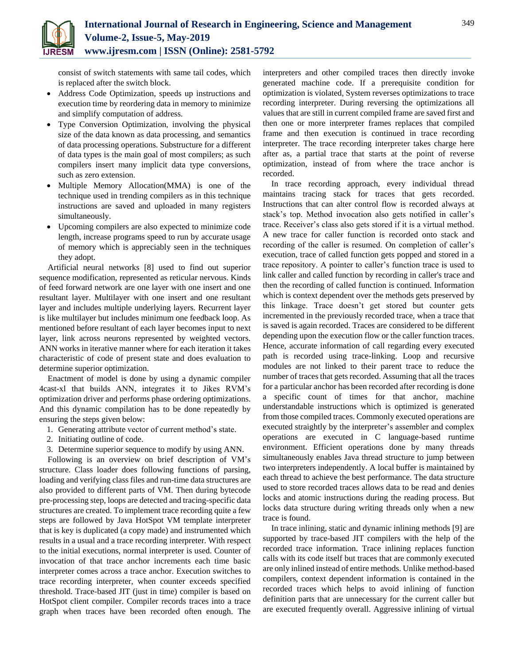consist of switch statements with same tail codes, which is replaced after the switch block.

- Address Code Optimization, speeds up instructions and execution time by reordering data in memory to minimize and simplify computation of address.
- Type Conversion Optimization, involving the physical size of the data known as data processing, and semantics of data processing operations. Substructure for a different of data types is the main goal of most compilers; as such compilers insert many implicit data type conversions, such as zero extension.
- Multiple Memory Allocation(MMA) is one of the technique used in trending compilers as in this technique instructions are saved and uploaded in many registers simultaneously.
- Upcoming compilers are also expected to minimize code length, increase programs speed to run by accurate usage of memory which is appreciably seen in the techniques they adopt.

Artificial neural networks [8] used to find out superior sequence modification, represented as reticular nervous. Kinds of feed forward network are one layer with one insert and one resultant layer. Multilayer with one insert and one resultant layer and includes multiple underlying layers. Recurrent layer is like multilayer but includes minimum one feedback loop. As mentioned before resultant of each layer becomes input to next layer, link across neurons represented by weighted vectors. ANN works in iterative manner where for each iteration it takes characteristic of code of present state and does evaluation to determine superior optimization.

Enactment of model is done by using a dynamic compiler 4cast-xl that builds ANN, integrates it to Jikes RVM's optimization driver and performs phase ordering optimizations. And this dynamic compilation has to be done repeatedly by ensuring the steps given below:

- 1. Generating attribute vector of current method's state.
- 2. Initiating outline of code.
- 3. Determine superior sequence to modify by using ANN.

Following is an overview on brief description of VM's structure. Class loader does following functions of parsing, loading and verifying class files and run-time data structures are also provided to different parts of VM. Then during bytecode pre-processing step, loops are detected and tracing-specific data structures are created. To implement trace recording quite a few steps are followed by Java HotSpot VM template interpreter that is key is duplicated (a copy made) and instrumented which results in a usual and a trace recording interpreter. With respect to the initial executions, normal interpreter is used. Counter of invocation of that trace anchor increments each time basic interpreter comes across a trace anchor. Execution switches to trace recording interpreter, when counter exceeds specified threshold. Trace-based JIT (just in time) compiler is based on HotSpot client compiler. Compiler records traces into a trace graph when traces have been recorded often enough. The

interpreters and other compiled traces then directly invoke generated machine code. If a prerequisite condition for optimization is violated, System reverses optimizations to trace recording interpreter. During reversing the optimizations all values that are still in current compiled frame are saved first and then one or more interpreter frames replaces that compiled frame and then execution is continued in trace recording interpreter. The trace recording interpreter takes charge here after as, a partial trace that starts at the point of reverse optimization, instead of from where the trace anchor is recorded.

In trace recording approach, every individual thread maintains tracing stack for traces that gets recorded. Instructions that can alter control flow is recorded always at stack's top. Method invocation also gets notified in caller's trace. Receiver's class also gets stored if it is a virtual method. A new trace for caller function is recorded onto stack and recording of the caller is resumed. On completion of caller's execution, trace of called function gets popped and stored in a trace repository. A pointer to caller's function trace is used to link caller and called function by recording in caller's trace and then the recording of called function is continued. Information which is context dependent over the methods gets preserved by this linkage. Trace doesn't get stored but counter gets incremented in the previously recorded trace, when a trace that is saved is again recorded. Traces are considered to be different depending upon the execution flow or the caller function traces. Hence, accurate information of call regarding every executed path is recorded using trace-linking. Loop and recursive modules are not linked to their parent trace to reduce the number of traces that gets recorded. Assuming that all the traces for a particular anchor has been recorded after recording is done a specific count of times for that anchor, machine understandable instructions which is optimized is generated from those compiled traces. Commonly executed operations are executed straightly by the interpreter's assembler and complex operations are executed in C language-based runtime environment. Efficient operations done by many threads simultaneously enables Java thread structure to jump between two interpreters independently. A local buffer is maintained by each thread to achieve the best performance. The data structure used to store recorded traces allows data to be read and denies locks and atomic instructions during the reading process. But locks data structure during writing threads only when a new trace is found.

In trace inlining, static and dynamic inlining methods [9] are supported by trace-based JIT compilers with the help of the recorded trace information. Trace inlining replaces function calls with its code itself but traces that are commonly executed are only inlined instead of entire methods. Unlike method-based compilers, context dependent information is contained in the recorded traces which helps to avoid inlining of function definition parts that are unnecessary for the current caller but are executed frequently overall. Aggressive inlining of virtual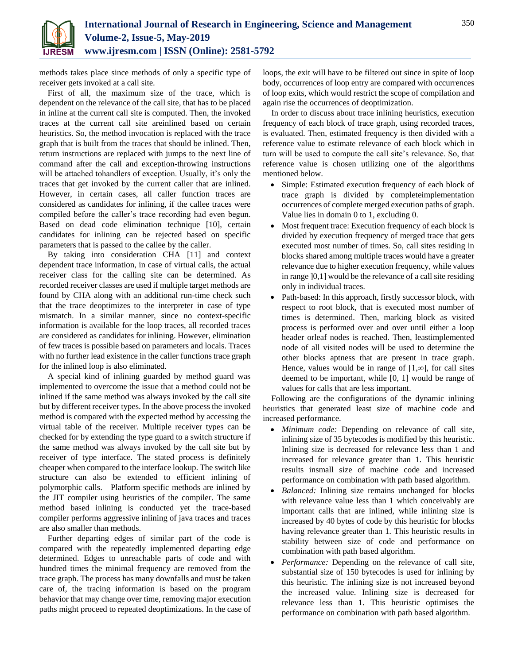

methods takes place since methods of only a specific type of receiver gets invoked at a call site.

First of all, the maximum size of the trace, which is dependent on the relevance of the call site, that has to be placed in inline at the current call site is computed. Then, the invoked traces at the current call site areinlined based on certain heuristics. So, the method invocation is replaced with the trace graph that is built from the traces that should be inlined. Then, return instructions are replaced with jumps to the next line of command after the call and exception-throwing instructions will be attached tohandlers of exception. Usually, it's only the traces that get invoked by the current caller that are inlined. However, in certain cases, all caller function traces are considered as candidates for inlining, if the callee traces were compiled before the caller's trace recording had even begun. Based on dead code elimination technique [10], certain candidates for inlining can be rejected based on specific parameters that is passed to the callee by the caller.

By taking into consideration CHA [11] and context dependent trace information, in case of virtual calls, the actual receiver class for the calling site can be determined. As recorded receiver classes are used if multiple target methods are found by CHA along with an additional run-time check such that the trace deoptimizes to the interpreter in case of type mismatch. In a similar manner, since no context-specific information is available for the loop traces, all recorded traces are considered as candidates for inlining. However, elimination of few traces is possible based on parameters and locals. Traces with no further lead existence in the caller functions trace graph for the inlined loop is also eliminated.

A special kind of inlining guarded by method guard was implemented to overcome the issue that a method could not be inlined if the same method was always invoked by the call site but by different receiver types. In the above process the invoked method is compared with the expected method by accessing the virtual table of the receiver. Multiple receiver types can be checked for by extending the type guard to a switch structure if the same method was always invoked by the call site but by receiver of type interface. The stated process is definitely cheaper when compared to the interface lookup. The switch like structure can also be extended to efficient inlining of polymorphic calls. Platform specific methods are inlined by the JIT compiler using heuristics of the compiler. The same method based inlining is conducted yet the trace-based compiler performs aggressive inlining of java traces and traces are also smaller than methods.

Further departing edges of similar part of the code is compared with the repeatedly implemented departing edge determined. Edges to unreachable parts of code and with hundred times the minimal frequency are removed from the trace graph. The process has many downfalls and must be taken care of, the tracing information is based on the program behavior that may change over time, removing major execution paths might proceed to repeated deoptimizations. In the case of loops, the exit will have to be filtered out since in spite of loop body, occurrences of loop entry are compared with occurrences of loop exits, which would restrict the scope of compilation and again rise the occurrences of deoptimization.

In order to discuss about trace inlining heuristics, execution frequency of each block of trace graph, using recorded traces, is evaluated. Then, estimated frequency is then divided with a reference value to estimate relevance of each block which in turn will be used to compute the call site's relevance. So, that reference value is chosen utilizing one of the algorithms mentioned below.

- Simple: Estimated execution frequency of each block of trace graph is divided by completeimplementation occurrences of complete merged execution paths of graph. Value lies in domain 0 to 1, excluding 0.
- Most frequent trace: Execution frequency of each block is divided by execution frequency of merged trace that gets executed most number of times. So, call sites residing in blocks shared among multiple traces would have a greater relevance due to higher execution frequency, while values in range ]0,1] would be the relevance of a call site residing only in individual traces.
- Path-based: In this approach, firstly successor block, with respect to root block, that is executed most number of times is determined. Then, marking block as visited process is performed over and over until either a loop header orleaf nodes is reached. Then, leastimplemented node of all visited nodes will be used to determine the other blocks aptness that are present in trace graph. Hence, values would be in range of  $[1, \infty]$ , for call sites deemed to be important, while [0, 1] would be range of values for calls that are less important.

Following are the configurations of the dynamic inlining heuristics that generated least size of machine code and increased performance.

- *Minimum code:* Depending on relevance of call site, inlining size of 35 bytecodes is modified by this heuristic. Inlining size is decreased for relevance less than 1 and increased for relevance greater than 1. This heuristic results insmall size of machine code and increased performance on combination with path based algorithm.
- *Balanced:* Inlining size remains unchanged for blocks with relevance value less than 1 which conceivably are important calls that are inlined, while inlining size is increased by 40 bytes of code by this heuristic for blocks having relevance greater than 1. This heuristic results in stability between size of code and performance on combination with path based algorithm.
- *Performance:* Depending on the relevance of call site, substantial size of 150 bytecodes is used for inlining by this heuristic. The inlining size is not increased beyond the increased value. Inlining size is decreased for relevance less than 1. This heuristic optimises the performance on combination with path based algorithm.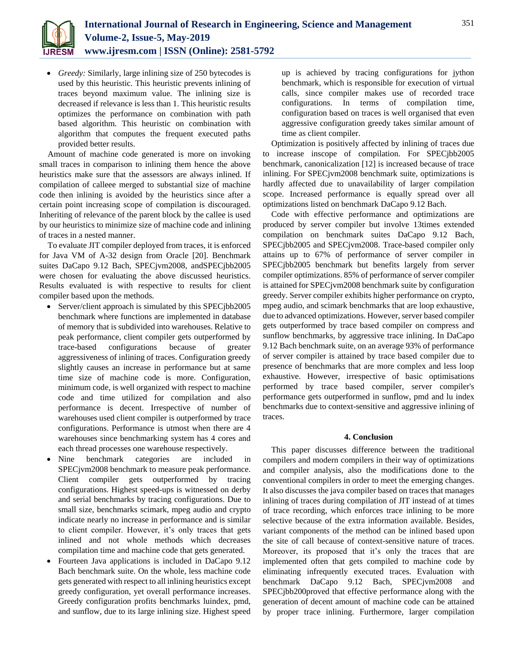

 *Greedy:* Similarly, large inlining size of 250 bytecodes is used by this heuristic. This heuristic prevents inlining of traces beyond maximum value. The inlining size is decreased if relevance is less than 1. This heuristic results optimizes the performance on combination with path based algorithm. This heuristic on combination with algorithm that computes the frequent executed paths provided better results.

Amount of machine code generated is more on invoking small traces in comparison to inlining them hence the above heuristics make sure that the assessors are always inlined. If compilation of calleee merged to substantial size of machine code then inlining is avoided by the heuristics since after a certain point increasing scope of compilation is discouraged. Inheriting of relevance of the parent block by the callee is used by our heuristics to minimize size of machine code and inlining of traces in a nested manner.

To evaluate JIT compiler deployed from traces, it is enforced for Java VM of A-32 design from Oracle [20]. Benchmark suites DaCapo 9.12 Bach, SPECjvm2008, andSPECjbb2005 were chosen for evaluating the above discussed heuristics. Results evaluated is with respective to results for client compiler based upon the methods.

- Server/client approach is simulated by this SPECjbb2005 benchmark where functions are implemented in database of memory that is subdivided into warehouses. Relative to peak performance, client compiler gets outperformed by trace-based configurations because of greater aggressiveness of inlining of traces. Configuration greedy slightly causes an increase in performance but at same time size of machine code is more. Configuration, minimum code, is well organized with respect to machine code and time utilized for compilation and also performance is decent. Irrespective of number of warehouses used client compiler is outperformed by trace configurations. Performance is utmost when there are 4 warehouses since benchmarking system has 4 cores and each thread processes one warehouse respectively.
- Nine benchmark categories are included in SPECjvm2008 benchmark to measure peak performance. Client compiler gets outperformed by tracing configurations. Highest speed-ups is witnessed on derby and serial benchmarks by tracing configurations. Due to small size, benchmarks scimark, mpeg audio and crypto indicate nearly no increase in performance and is similar to client compiler. However, it's only traces that gets inlined and not whole methods which decreases compilation time and machine code that gets generated.
- Fourteen Java applications is included in DaCapo 9.12 Bach benchmark suite. On the whole, less machine code gets generated with respect to all inlining heuristics except greedy configuration, yet overall performance increases. Greedy configuration profits benchmarks luindex, pmd, and sunflow, due to its large inlining size. Highest speed

up is achieved by tracing configurations for jython benchmark, which is responsible for execution of virtual calls, since compiler makes use of recorded trace configurations. In terms of compilation time, configuration based on traces is well organised that even aggressive configuration greedy takes similar amount of time as client compiler.

Optimization is positively affected by inlining of traces due to increase inscope of compilation. For SPECjbb2005 benchmark, canonicalization [12] is increased because of trace inlining. For SPECjvm2008 benchmark suite, optimizations is hardly affected due to unavailability of larger compilation scope. Increased performance is equally spread over all optimizations listed on benchmark DaCapo 9.12 Bach.

Code with effective performance and optimizations are produced by server compiler but involve 13times extended compilation on benchmark suites DaCapo 9.12 Bach, SPECjbb2005 and SPECjvm2008. Trace-based compiler only attains up to 67% of performance of server compiler in SPECjbb2005 benchmark but benefits largely from server compiler optimizations. 85% of performance of server compiler is attained for SPECjvm2008 benchmark suite by configuration greedy. Server compiler exhibits higher performance on crypto, mpeg audio, and scimark benchmarks that are loop exhaustive, due to advanced optimizations. However, server based compiler gets outperformed by trace based compiler on compress and sunflow benchmarks, by aggressive trace inlining. In DaCapo 9.12 Bach benchmark suite, on an average 93% of performance of server compiler is attained by trace based compiler due to presence of benchmarks that are more complex and less loop exhaustive. However, irrespective of basic optimisations performed by trace based compiler, server compiler's performance gets outperformed in sunflow, pmd and lu index benchmarks due to context-sensitive and aggressive inlining of traces.

## **4. Conclusion**

This paper discusses difference between the traditional compilers and modern compilers in their way of optimizations and compiler analysis, also the modifications done to the conventional compilers in order to meet the emerging changes. It also discusses the java compiler based on traces that manages inlining of traces during compilation of JIT instead of at times of trace recording, which enforces trace inlining to be more selective because of the extra information available. Besides, variant components of the method can be inlined based upon the site of call because of context-sensitive nature of traces. Moreover, its proposed that it's only the traces that are implemented often that gets compiled to machine code by eliminating infrequently executed traces. Evaluation with benchmark DaCapo 9.12 Bach, SPECjvm2008 and SPECjbb200proved that effective performance along with the generation of decent amount of machine code can be attained by proper trace inlining. Furthermore, larger compilation